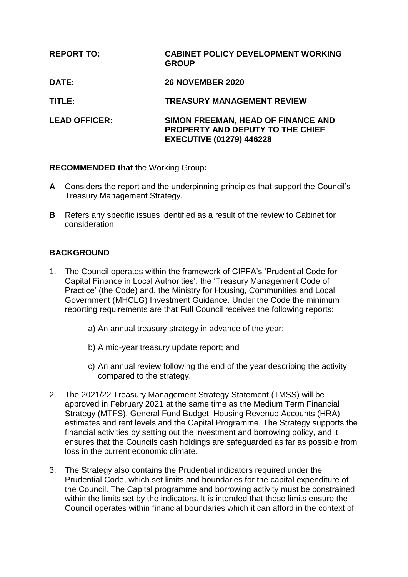# **REPORT TO: CABINET POLICY DEVELOPMENT WORKING GROUP DATE: 26 NOVEMBER 2020 TITLE: TREASURY MANAGEMENT REVIEW LEAD OFFICER: SIMON FREEMAN, HEAD OF FINANCE AND PROPERTY AND DEPUTY TO THE CHIEF EXECUTIVE (01279) 446228**

**RECOMMENDED that** the Working Group**:**

- **A** Considers the report and the underpinning principles that support the Council's Treasury Management Strategy.
- **B** Refers any specific issues identified as a result of the review to Cabinet for consideration.

# **BACKGROUND**

- 1. The Council operates within the framework of CIPFA's 'Prudential Code for Capital Finance in Local Authorities', the 'Treasury Management Code of Practice' (the Code) and, the Ministry for Housing, Communities and Local Government (MHCLG) Investment Guidance. Under the Code the minimum reporting requirements are that Full Council receives the following reports:
	- a) An annual treasury strategy in advance of the year;
	- b) A mid-year treasury update report; and
	- c) An annual review following the end of the year describing the activity compared to the strategy.
- 2. The 2021/22 Treasury Management Strategy Statement (TMSS) will be approved in February 2021 at the same time as the Medium Term Financial Strategy (MTFS), General Fund Budget, Housing Revenue Accounts (HRA) estimates and rent levels and the Capital Programme. The Strategy supports the financial activities by setting out the investment and borrowing policy, and it ensures that the Councils cash holdings are safeguarded as far as possible from loss in the current economic climate.
- 3. The Strategy also contains the Prudential indicators required under the Prudential Code, which set limits and boundaries for the capital expenditure of the Council. The Capital programme and borrowing activity must be constrained within the limits set by the indicators. It is intended that these limits ensure the Council operates within financial boundaries which it can afford in the context of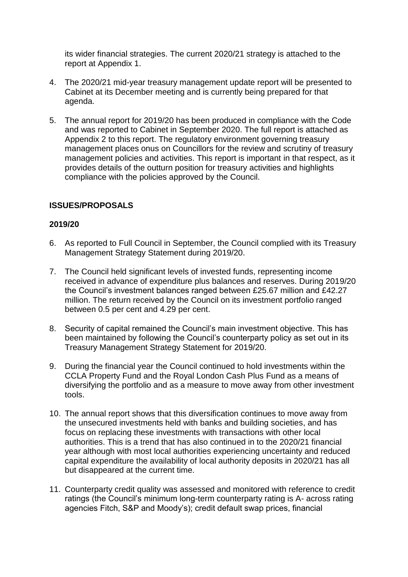its wider financial strategies. The current 2020/21 strategy is attached to the report at Appendix 1.

- 4. The 2020/21 mid-year treasury management update report will be presented to Cabinet at its December meeting and is currently being prepared for that agenda.
- 5. The annual report for 2019/20 has been produced in compliance with the Code and was reported to Cabinet in September 2020. The full report is attached as Appendix 2 to this report. The regulatory environment governing treasury management places onus on Councillors for the review and scrutiny of treasury management policies and activities. This report is important in that respect, as it provides details of the outturn position for treasury activities and highlights compliance with the policies approved by the Council.

# **ISSUES/PROPOSALS**

#### **2019/20**

- 6. As reported to Full Council in September, the Council complied with its Treasury Management Strategy Statement during 2019/20.
- 7. The Council held significant levels of invested funds, representing income received in advance of expenditure plus balances and reserves. During 2019/20 the Council's investment balances ranged between £25.67 million and £42.27 million. The return received by the Council on its investment portfolio ranged between 0.5 per cent and 4.29 per cent.
- 8. Security of capital remained the Council's main investment objective. This has been maintained by following the Council's counterparty policy as set out in its Treasury Management Strategy Statement for 2019/20.
- 9. During the financial year the Council continued to hold investments within the CCLA Property Fund and the Royal London Cash Plus Fund as a means of diversifying the portfolio and as a measure to move away from other investment tools.
- 10. The annual report shows that this diversification continues to move away from the unsecured investments held with banks and building societies, and has focus on replacing these investments with transactions with other local authorities. This is a trend that has also continued in to the 2020/21 financial year although with most local authorities experiencing uncertainty and reduced capital expenditure the availability of local authority deposits in 2020/21 has all but disappeared at the current time.
- 11. Counterparty credit quality was assessed and monitored with reference to credit ratings (the Council's minimum long-term counterparty rating is A- across rating agencies Fitch, S&P and Moody's); credit default swap prices, financial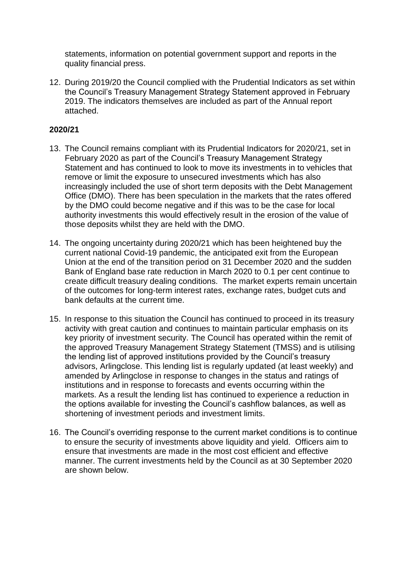statements, information on potential government support and reports in the quality financial press.

12. During 2019/20 the Council complied with the Prudential Indicators as set within the Council's Treasury Management Strategy Statement approved in February 2019. The indicators themselves are included as part of the Annual report attached.

## **2020/21**

- 13. The Council remains compliant with its Prudential Indicators for 2020/21, set in February 2020 as part of the Council's Treasury Management Strategy Statement and has continued to look to move its investments in to vehicles that remove or limit the exposure to unsecured investments which has also increasingly included the use of short term deposits with the Debt Management Office (DMO). There has been speculation in the markets that the rates offered by the DMO could become negative and if this was to be the case for local authority investments this would effectively result in the erosion of the value of those deposits whilst they are held with the DMO.
- 14. The ongoing uncertainty during 2020/21 which has been heightened buy the current national Covid-19 pandemic, the anticipated exit from the European Union at the end of the transition period on 31 December 2020 and the sudden Bank of England base rate reduction in March 2020 to 0.1 per cent continue to create difficult treasury dealing conditions. The market experts remain uncertain of the outcomes for long-term interest rates, exchange rates, budget cuts and bank defaults at the current time.
- 15. In response to this situation the Council has continued to proceed in its treasury activity with great caution and continues to maintain particular emphasis on its key priority of investment security. The Council has operated within the remit of the approved Treasury Management Strategy Statement (TMSS) and is utilising the lending list of approved institutions provided by the Council's treasury advisors, Arlingclose. This lending list is regularly updated (at least weekly) and amended by Arlingclose in response to changes in the status and ratings of institutions and in response to forecasts and events occurring within the markets. As a result the lending list has continued to experience a reduction in the options available for investing the Council's cashflow balances, as well as shortening of investment periods and investment limits.
- 16. The Council's overriding response to the current market conditions is to continue to ensure the security of investments above liquidity and yield. Officers aim to ensure that investments are made in the most cost efficient and effective manner. The current investments held by the Council as at 30 September 2020 are shown below.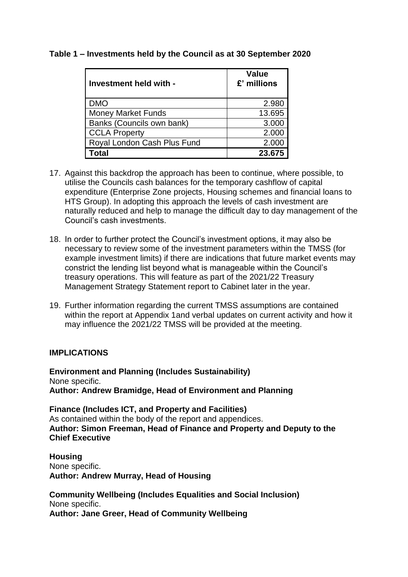## **Table 1 – Investments held by the Council as at 30 September 2020**

| Investment held with -      | Value<br>£' millions |
|-----------------------------|----------------------|
| <b>DMO</b>                  | 2.980                |
| <b>Money Market Funds</b>   | 13.695               |
| Banks (Councils own bank)   | 3.000                |
| <b>CCLA Property</b>        | 2.000                |
| Royal London Cash Plus Fund | 2.000                |
| Total                       | 23.675               |

- 17. Against this backdrop the approach has been to continue, where possible, to utilise the Councils cash balances for the temporary cashflow of capital expenditure (Enterprise Zone projects, Housing schemes and financial loans to HTS Group). In adopting this approach the levels of cash investment are naturally reduced and help to manage the difficult day to day management of the Council's cash investments.
- 18. In order to further protect the Council's investment options, it may also be necessary to review some of the investment parameters within the TMSS (for example investment limits) if there are indications that future market events may constrict the lending list beyond what is manageable within the Council's treasury operations. This will feature as part of the 2021/22 Treasury Management Strategy Statement report to Cabinet later in the year.
- 19. Further information regarding the current TMSS assumptions are contained within the report at Appendix 1and verbal updates on current activity and how it may influence the 2021/22 TMSS will be provided at the meeting.

#### **IMPLICATIONS**

**Environment and Planning (Includes Sustainability)** None specific. **Author: Andrew Bramidge, Head of Environment and Planning**

**Finance (Includes ICT, and Property and Facilities)** As contained within the body of the report and appendices. **Author: Simon Freeman, Head of Finance and Property and Deputy to the Chief Executive**

**Housing** None specific. **Author: Andrew Murray, Head of Housing**

**Community Wellbeing (Includes Equalities and Social Inclusion)** None specific. **Author: Jane Greer, Head of Community Wellbeing**